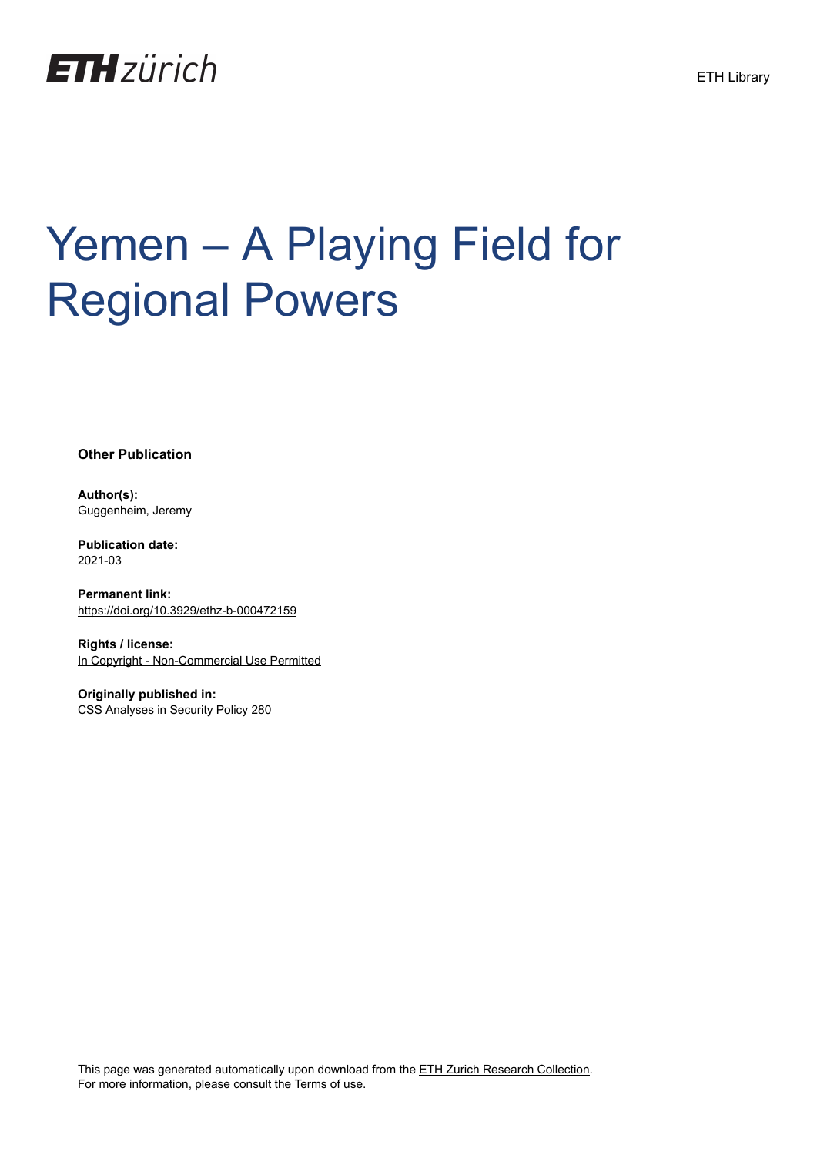

# Yemen – A Playing Field for Regional Powers

**Other Publication**

**Author(s):** Guggenheim, Jeremy

**Publication date:** 2021-03

**Permanent link:** <https://doi.org/10.3929/ethz-b-000472159>

**Rights / license:** [In Copyright - Non-Commercial Use Permitted](http://rightsstatements.org/page/InC-NC/1.0/)

**Originally published in:** CSS Analyses in Security Policy 280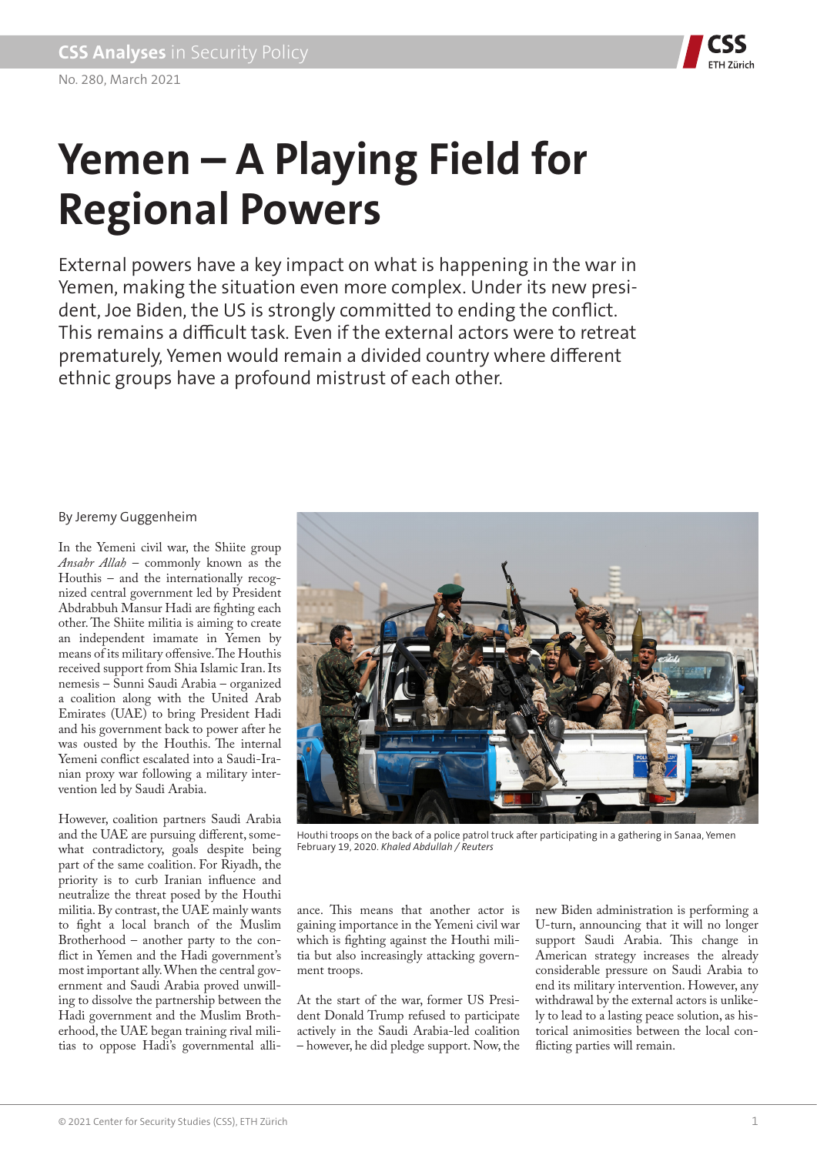

## **Yemen – A Playing Field for Regional Powers**

External powers have a key impact on what is happening in the war in Yemen, making the situation even more complex. Under its new president, Joe Biden, the US is strongly committed to ending the conflict. This remains a difficult task. Even if the external actors were to retreat prematurely, Yemen would remain a divided country where different ethnic groups have a profound mistrust of each other.

### By Jeremy Guggenheim

In the Yemeni civil war, the Shiite group *Ansahr Allah* – commonly known as the Houthis – and the internationally recognized central government led by President Abdrabbuh Mansur Hadi are fighting each other. The Shiite militia is aiming to create an independent imamate in Yemen by means of its military offensive. The Houthis received support from Shia Islamic Iran. Its nemesis – Sunni Saudi Arabia – organized a coalition along with the United Arab Emirates (UAE) to bring President Hadi and his government back to power after he was ousted by the Houthis. The internal Yemeni conflict escalated into a Saudi-Iranian proxy war following a military intervention led by Saudi Arabia.

However, coalition partners Saudi Arabia and the UAE are pursuing different, somewhat contradictory, goals despite being part of the same coalition. For Riyadh, the priority is to curb Iranian influence and neutralize the threat posed by the Houthi militia. By contrast, the UAE mainly wants to fight a local branch of the Muslim Brotherhood – another party to the conflict in Yemen and the Hadi government's most important ally. When the central government and Saudi Arabia proved unwilling to dissolve the partnership between the Hadi government and the Muslim Brotherhood, the UAE began training rival militias to oppose Hadi's governmental alli-



Houthi troops on the back of a police patrol truck after participating in a gathering in Sanaa, Yemen February 19, 2020. *Khaled Abdullah / Reuters*

ance. This means that another actor is gaining importance in the Yemeni civil war which is fighting against the Houthi militia but also increasingly attacking government troops.

At the start of the war, former US President Donald Trump refused to participate actively in the Saudi Arabia-led coalition – however, he did pledge support. Now, the new Biden administration is performing a U-turn, announcing that it will no longer support Saudi Arabia. This change in American strategy increases the already considerable pressure on Saudi Arabia to end its military intervention. However, any withdrawal by the external actors is unlikely to lead to a lasting peace solution, as historical animosities between the local conflicting parties will remain.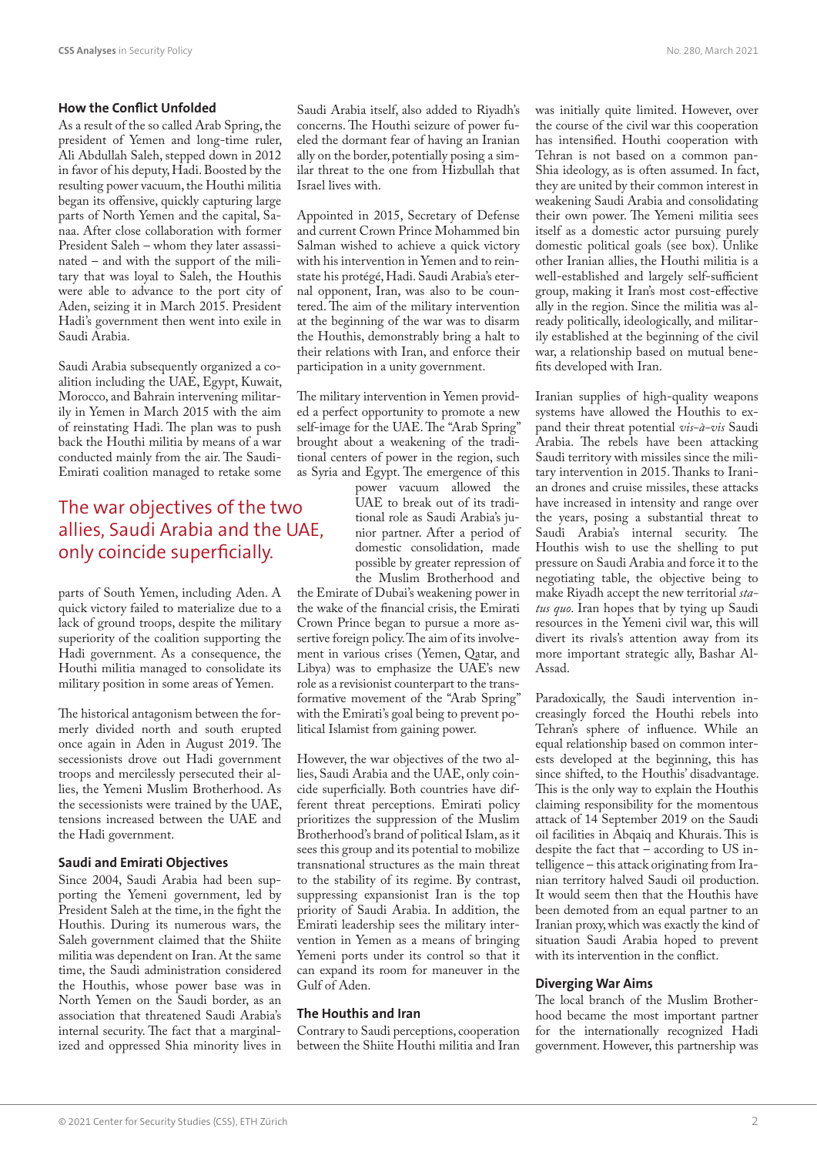#### **How the Conflict Unfolded**

As a result of the so called Arab Spring, the president of Yemen and long-time ruler, Ali Abdullah Saleh, stepped down in 2012 in favor of his deputy, Hadi. Boosted by the resulting power vacuum, the Houthi militia began its offensive, quickly capturing large parts of North Yemen and the capital, Sanaa. After close collaboration with former President Saleh – whom they later assassinated – and with the support of the military that was loyal to Saleh, the Houthis were able to advance to the port city of Aden, seizing it in March 2015. President Hadi's government then went into exile in Saudi Arabia.

Saudi Arabia subsequently organized a coalition including the UAE, Egypt, Kuwait, Morocco, and Bahrain intervening militarily in Yemen in March 2015 with the aim of reinstating Hadi. The plan was to push back the Houthi militia by means of a war conducted mainly from the air. The Saudi-Emirati coalition managed to retake some

## The war objectives of the two allies, Saudi Arabia and the UAE, only coincide superficially.

parts of South Yemen, including Aden. A quick victory failed to materialize due to a lack of ground troops, despite the military superiority of the coalition supporting the Hadi government. As a consequence, the Houthi militia managed to consolidate its military position in some areas of Yemen.

The historical antagonism between the formerly divided north and south erupted once again in Aden in August 2019. The secessionists drove out Hadi government troops and mercilessly persecuted their allies, the Yemeni Muslim Brotherhood. As the secessionists were trained by the UAE, tensions increased between the UAE and the Hadi government.

#### **Saudi and Emirati Objectives**

Since 2004, Saudi Arabia had been supporting the Yemeni government, led by President Saleh at the time, in the fight the Houthis. During its numerous wars, the Saleh government claimed that the Shiite militia was dependent on Iran. At the same time, the Saudi administration considered the Houthis, whose power base was in North Yemen on the Saudi border, as an association that threatened Saudi Arabia's internal security. The fact that a marginalized and oppressed Shia minority lives in Saudi Arabia itself, also added to Riyadh's concerns. The Houthi seizure of power fueled the dormant fear of having an Iranian ally on the border, potentially posing a similar threat to the one from Hizbullah that Israel lives with.

Appointed in 2015, Secretary of Defense and current Crown Prince Mohammed bin Salman wished to achieve a quick victory with his intervention in Yemen and to reinstate his protégé, Hadi. Saudi Arabia's eternal opponent, Iran, was also to be countered. The aim of the military intervention at the beginning of the war was to disarm the Houthis, demonstrably bring a halt to their relations with Iran, and enforce their participation in a unity government.

The military intervention in Yemen provided a perfect opportunity to promote a new self-image for the UAE. The "Arab Spring" brought about a weakening of the traditional centers of power in the region, such as Syria and Egypt. The emergence of this

power vacuum allowed the UAE to break out of its traditional role as Saudi Arabia's junior partner. After a period of domestic consolidation, made possible by greater repression of the Muslim Brotherhood and

the Emirate of Dubai's weakening power in the wake of the financial crisis, the Emirati Crown Prince began to pursue a more assertive foreign policy. The aim of its involvement in various crises (Yemen, Qatar, and Libya) was to emphasize the UAE's new role as a revisionist counterpart to the transformative movement of the "Arab Spring" with the Emirati's goal being to prevent political Islamist from gaining power.

However, the war objectives of the two allies, Saudi Arabia and the UAE, only coincide superficially. Both countries have different threat perceptions. Emirati policy prioritizes the suppression of the Muslim Brotherhood's brand of political Islam, as it sees this group and its potential to mobilize transnational structures as the main threat to the stability of its regime. By contrast, suppressing expansionist Iran is the top priority of Saudi Arabia. In addition, the Emirati leadership sees the military intervention in Yemen as a means of bringing Yemeni ports under its control so that it can expand its room for maneuver in the Gulf of Aden.

#### **The Houthis and Iran**

Contrary to Saudi perceptions, cooperation between the Shiite Houthi militia and Iran was initially quite limited. However, over the course of the civil war this cooperation has intensified. Houthi cooperation with Tehran is not based on a common pan-Shia ideology, as is often assumed. In fact, they are united by their common interest in weakening Saudi Arabia and consolidating their own power. The Yemeni militia sees itself as a domestic actor pursuing purely domestic political goals (see box). Unlike other Iranian allies, the Houthi militia is a well-established and largely self-sufficient group, making it Iran's most cost-effective ally in the region. Since the militia was already politically, ideologically, and militarily established at the beginning of the civil war, a relationship based on mutual benefits developed with Iran.

Iranian supplies of high-quality weapons systems have allowed the Houthis to expand their threat potential *vis-à-vis* Saudi Arabia. The rebels have been attacking Saudi territory with missiles since the military intervention in 2015. Thanks to Iranian drones and cruise missiles, these attacks have increased in intensity and range over the years, posing a substantial threat to Saudi Arabia's internal security. The Houthis wish to use the shelling to put pressure on Saudi Arabia and force it to the negotiating table, the objective being to make Riyadh accept the new territorial *status quo*. Iran hopes that by tying up Saudi resources in the Yemeni civil war, this will divert its rivals's attention away from its more important strategic ally, Bashar Al-Assad.

Paradoxically, the Saudi intervention increasingly forced the Houthi rebels into Tehran's sphere of influence. While an equal relationship based on common interests developed at the beginning, this has since shifted, to the Houthis' disadvantage. This is the only way to explain the Houthis claiming responsibility for the momentous attack of 14 September 2019 on the Saudi oil facilities in Abqaiq and Khurais. This is despite the fact that – according to US intelligence – this attack originating from Iranian territory halved Saudi oil production. It would seem then that the Houthis have been demoted from an equal partner to an Iranian proxy, which was exactly the kind of situation Saudi Arabia hoped to prevent with its intervention in the conflict.

#### **Diverging War Aims**

The local branch of the Muslim Brotherhood became the most important partner for the internationally recognized Hadi government. However, this partnership was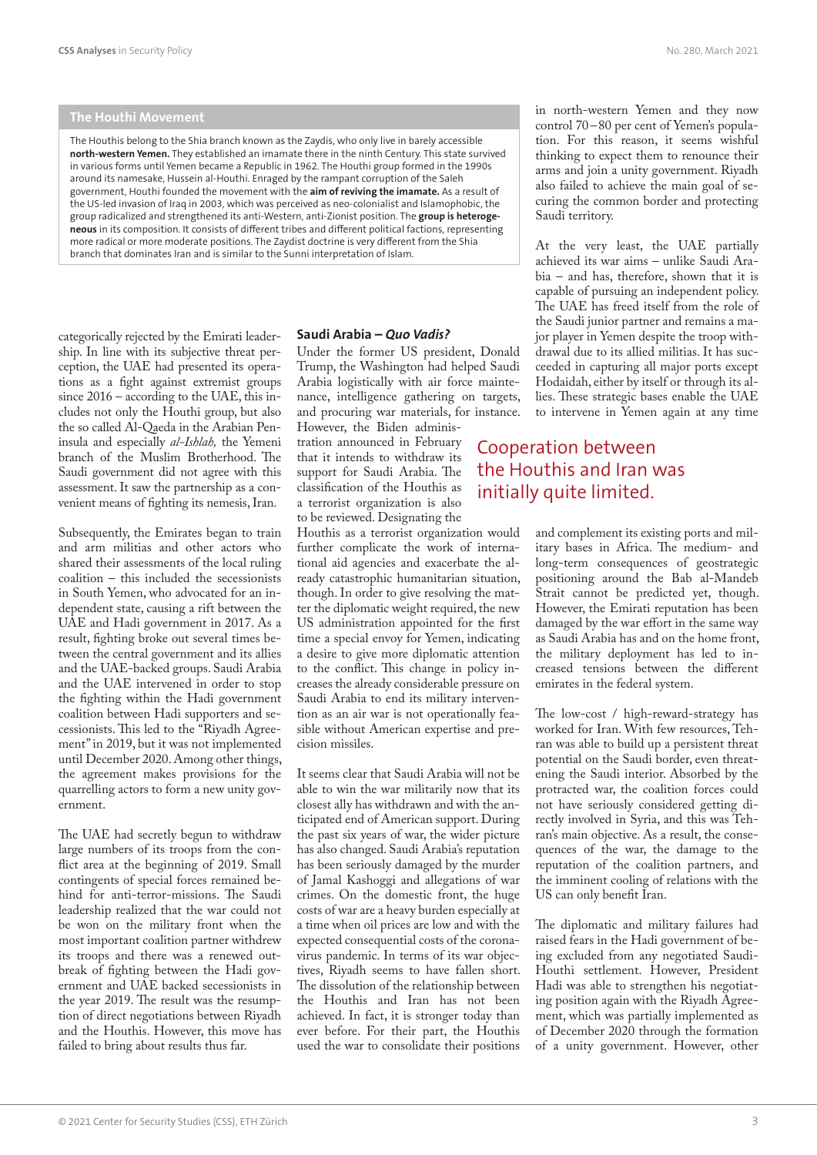#### **The Houthi Movement**

The Houthis belong to the Shia branch known as the Zaydis, who only live in barely accessible **north-western Yemen.** They established an imamate there in the ninth Century. This state survived in various forms until Yemen became a Republic in 1962. The Houthi group formed in the 1990s around its namesake, Hussein al-Houthi. Enraged by the rampant corruption of the Saleh government, Houthi founded the movement with the **aim of reviving the imamate.** As a result of the US-led invasion of Iraq in 2003, which was perceived as neo-colonialist and Islamophobic, the group radicalized and strengthened its anti-Western, anti-Zionist position. The **group is heterogeneous** in its composition. It consists of different tribes and different political factions, representing more radical or more moderate positions. The Zaydist doctrine is very different from the Shia branch that dominates Iran and is similar to the Sunni interpretation of Islam.

categorically rejected by the Emirati leadership. In line with its subjective threat perception, the UAE had presented its operations as a fight against extremist groups since 2016 – according to the UAE, this includes not only the Houthi group, but also the so called Al-Qaeda in the Arabian Peninsula and especially *al-Ishlah,* the Yemeni branch of the Muslim Brotherhood. The Saudi government did not agree with this assessment. It saw the partnership as a convenient means of fighting its nemesis, Iran.

Subsequently, the Emirates began to train and arm militias and other actors who shared their assessments of the local ruling coalition – this included the secessionists in South Yemen, who advocated for an independent state, causing a rift between the UAE and Hadi government in 2017. As a result, fighting broke out several times between the central government and its allies and the UAE-backed groups. Saudi Arabia and the UAE intervened in order to stop the fighting within the Hadi government coalition between Hadi supporters and secessionists. This led to the "Riyadh Agreement" in 2019, but it was not implemented until December 2020. Among other things, the agreement makes provisions for the quarrelling actors to form a new unity government.

The UAE had secretly begun to withdraw large numbers of its troops from the conflict area at the beginning of 2019. Small contingents of special forces remained behind for anti-terror-missions. The Saudi leadership realized that the war could not be won on the military front when the most important coalition partner withdrew its troops and there was a renewed outbreak of fighting between the Hadi government and UAE backed secessionists in the year 2019. The result was the resumption of direct negotiations between Riyadh and the Houthis. However, this move has failed to bring about results thus far.

#### **Saudi Arabia –** *Quo Vadis?*

Under the former US president, Donald Trump, the Washington had helped Saudi Arabia logistically with air force maintenance, intelligence gathering on targets, and procuring war materials, for instance. However, the Biden adminis-

tration announced in February that it intends to withdraw its support for Saudi Arabia. The classification of the Houthis as a terrorist organization is also to be reviewed. Designating the

Houthis as a terrorist organization would further complicate the work of international aid agencies and exacerbate the already catastrophic humanitarian situation, though. In order to give resolving the matter the diplomatic weight required, the new US administration appointed for the first time a special envoy for Yemen, indicating a desire to give more diplomatic attention to the conflict. This change in policy increases the already considerable pressure on Saudi Arabia to end its military intervention as an air war is not operationally feasible without American expertise and precision missiles.

It seems clear that Saudi Arabia will not be able to win the war militarily now that its closest ally has withdrawn and with the anticipated end of American support. During the past six years of war, the wider picture has also changed. Saudi Arabia's reputation has been seriously damaged by the murder of Jamal Kashoggi and allegations of war crimes. On the domestic front, the huge costs of war are a heavy burden especially at a time when oil prices are low and with the expected consequential costs of the coronavirus pandemic. In terms of its war objectives, Riyadh seems to have fallen short. The dissolution of the relationship between the Houthis and Iran has not been achieved. In fact, it is stronger today than ever before. For their part, the Houthis used the war to consolidate their positions

in north-western Yemen and they now control 70-80 per cent of Yemen's population. For this reason, it seems wishful thinking to expect them to renounce their arms and join a unity government. Riyadh also failed to achieve the main goal of securing the common border and protecting Saudi territory.

At the very least, the UAE partially achieved its war aims – unlike Saudi Arabia – and has, therefore, shown that it is capable of pursuing an independent policy. The UAE has freed itself from the role of the Saudi junior partner and remains a major player in Yemen despite the troop withdrawal due to its allied militias. It has succeeded in capturing all major ports except Hodaidah, either by itself or through its allies. These strategic bases enable the UAE to intervene in Yemen again at any time

## Cooperation between the Houthis and Iran was initially quite limited.

and complement its existing ports and military bases in Africa. The medium- and long-term consequences of geostrategic positioning around the Bab al-Mandeb Strait cannot be predicted yet, though. However, the Emirati reputation has been damaged by the war effort in the same way as Saudi Arabia has and on the home front, the military deployment has led to increased tensions between the different emirates in the federal system.

The low-cost / high-reward-strategy has worked for Iran. With few resources, Tehran was able to build up a persistent threat potential on the Saudi border, even threatening the Saudi interior. Absorbed by the protracted war, the coalition forces could not have seriously considered getting directly involved in Syria, and this was Tehran's main objective. As a result, the consequences of the war, the damage to the reputation of the coalition partners, and the imminent cooling of relations with the US can only benefit Iran.

The diplomatic and military failures had raised fears in the Hadi government of being excluded from any negotiated Saudi-Houthi settlement. However, President Hadi was able to strengthen his negotiating position again with the Riyadh Agreement, which was partially implemented as of December 2020 through the formation of a unity government. However, other